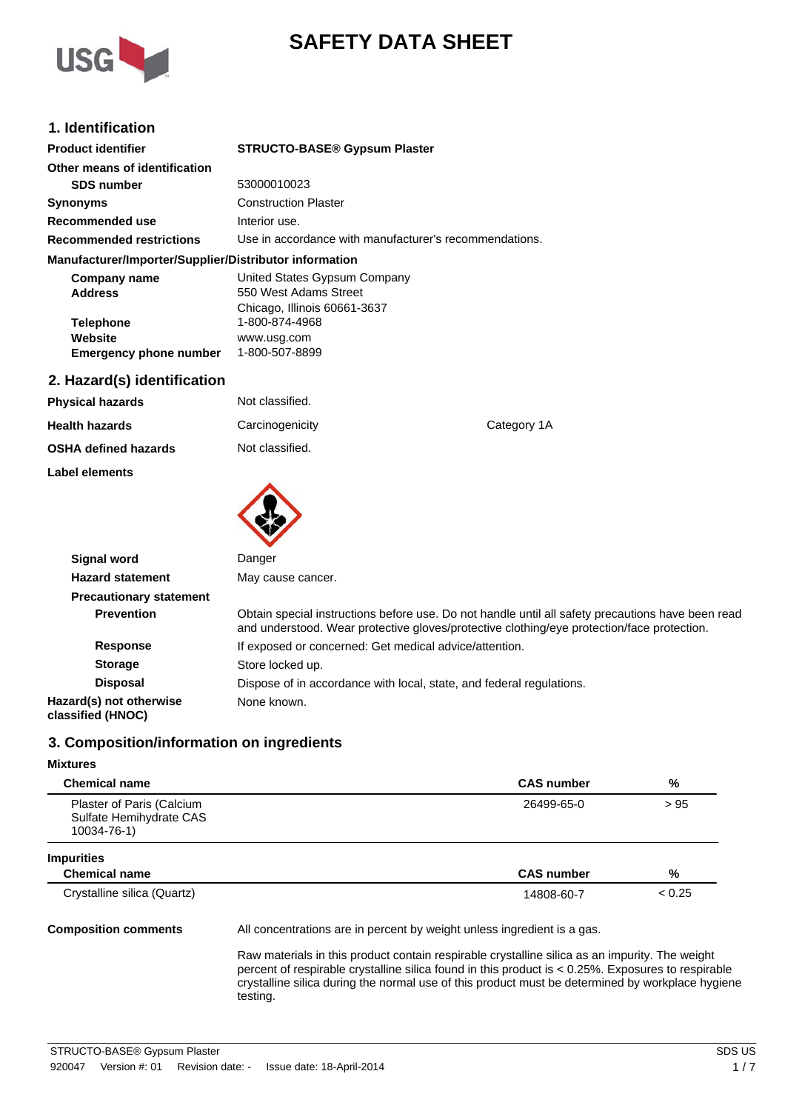

# **SAFETY DATA SHEET**

# **1. Identification**

| <b>Product identifier</b>                              | <b>STRUCTO-BASE® Gypsum Plaster</b>                    |  |
|--------------------------------------------------------|--------------------------------------------------------|--|
| Other means of identification                          |                                                        |  |
| <b>SDS number</b>                                      | 53000010023                                            |  |
| <b>Synonyms</b>                                        | <b>Construction Plaster</b>                            |  |
| Recommended use                                        | Interior use.                                          |  |
| <b>Recommended restrictions</b>                        | Use in accordance with manufacturer's recommendations. |  |
| Manufacturer/Importer/Supplier/Distributor information |                                                        |  |
| Company name                                           | United States Gypsum Company                           |  |
| <b>Address</b>                                         | 550 West Adams Street                                  |  |

| Chicago, Illinois 60661-3637 |
|------------------------------|
| 1-800-874-4968               |
| www.usg.com                  |
| 1-800-507-8899               |
|                              |

# **2. Hazard(s) identification**

| <b>Physical hazards</b>     | Not classified. |             |
|-----------------------------|-----------------|-------------|
| <b>Health hazards</b>       | Carcinogenicity | Category 1A |
| <b>OSHA defined hazards</b> | Not classified. |             |
| Label elements              |                 |             |



| Signal word                                  | Danger                                                                                                                                                                                          |
|----------------------------------------------|-------------------------------------------------------------------------------------------------------------------------------------------------------------------------------------------------|
| <b>Hazard statement</b>                      | May cause cancer.                                                                                                                                                                               |
| <b>Precautionary statement</b>               |                                                                                                                                                                                                 |
| <b>Prevention</b>                            | Obtain special instructions before use. Do not handle until all safety precautions have been read<br>and understood. Wear protective gloves/protective clothing/eye protection/face protection. |
| <b>Response</b>                              | If exposed or concerned: Get medical advice/attention.                                                                                                                                          |
| <b>Storage</b>                               | Store locked up.                                                                                                                                                                                |
| <b>Disposal</b>                              | Dispose of in accordance with local, state, and federal regulations.                                                                                                                            |
| Hazard(s) not otherwise<br>classified (HNOC) | None known.                                                                                                                                                                                     |

# **3. Composition/information on ingredients**

| 3. Composition/information on ingredients                           |                                                                         |        |
|---------------------------------------------------------------------|-------------------------------------------------------------------------|--------|
| <b>Mixtures</b>                                                     |                                                                         |        |
| <b>Chemical name</b>                                                | <b>CAS number</b>                                                       | %      |
| Plaster of Paris (Calcium<br>Sulfate Hemihydrate CAS<br>10034-76-1) | 26499-65-0                                                              | > 95   |
| <b>Impurities</b>                                                   |                                                                         |        |
| <b>Chemical name</b>                                                | <b>CAS number</b>                                                       | %      |
| Crystalline silica (Quartz)                                         | 14808-60-7                                                              | < 0.25 |
| <b>Composition comments</b>                                         | All concentrations are in percent by weight unless ingredient is a gas. |        |

Raw materials in this product contain respirable crystalline silica as an impurity. The weight percent of respirable crystalline silica found in this product is < 0.25%. Exposures to respirable crystalline silica during the normal use of this product must be determined by workplace hygiene testing.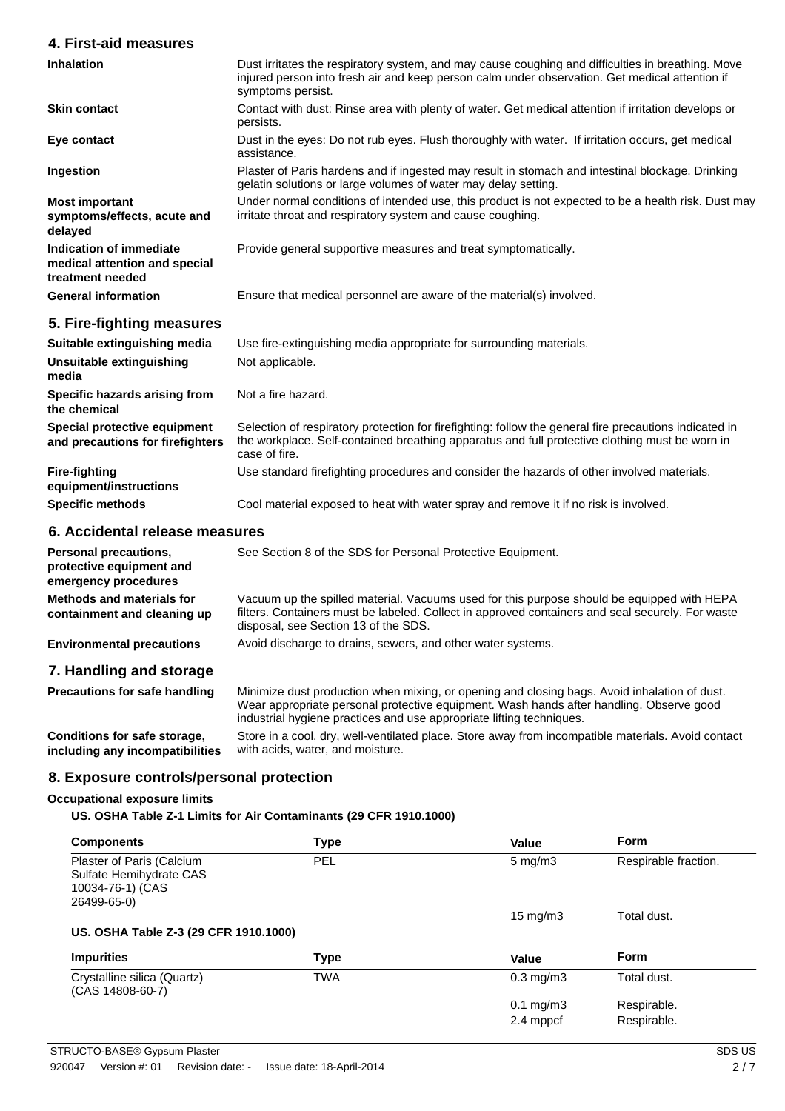### **4. First-aid measures**

| <b>Inhalation</b>                                                            | Dust irritates the respiratory system, and may cause coughing and difficulties in breathing. Move<br>injured person into fresh air and keep person calm under observation. Get medical attention if<br>symptoms persist. |
|------------------------------------------------------------------------------|--------------------------------------------------------------------------------------------------------------------------------------------------------------------------------------------------------------------------|
| <b>Skin contact</b>                                                          | Contact with dust: Rinse area with plenty of water. Get medical attention if irritation develops or<br>persists.                                                                                                         |
| Eye contact                                                                  | Dust in the eyes: Do not rub eyes. Flush thoroughly with water. If irritation occurs, get medical<br>assistance.                                                                                                         |
| Ingestion                                                                    | Plaster of Paris hardens and if ingested may result in stomach and intestinal blockage. Drinking<br>gelatin solutions or large volumes of water may delay setting.                                                       |
| <b>Most important</b><br>symptoms/effects, acute and<br>delayed              | Under normal conditions of intended use, this product is not expected to be a health risk. Dust may<br>irritate throat and respiratory system and cause coughing.                                                        |
| Indication of immediate<br>medical attention and special<br>treatment needed | Provide general supportive measures and treat symptomatically.                                                                                                                                                           |
| <b>General information</b>                                                   | Ensure that medical personnel are aware of the material(s) involved.                                                                                                                                                     |
| 5. Fire-fighting measures                                                    |                                                                                                                                                                                                                          |
| Suitable extinguishing media                                                 | Use fire-extinguishing media appropriate for surrounding materials.                                                                                                                                                      |
| Unsuitable extinguishing<br>media                                            | Not applicable.                                                                                                                                                                                                          |
| Specific hazards arising from<br>the chemical                                | Not a fire hazard.                                                                                                                                                                                                       |

**Special protective equipment and precautions for firefighters**

the workplace. Self-contained breathing apparatus and full protective clothing must be worn in case of fire.

Selection of respiratory protection for firefighting: follow the general fire precautions indicated in

**Fire-fighting equipment/instructions** Use standard firefighting procedures and consider the hazards of other involved materials. **Specific methods** Cool material exposed to heat with water spray and remove it if no risk is involved.

## **6. Accidental release measures**

| Personal precautions,<br>protective equipment and<br>emergency procedures | See Section 8 of the SDS for Personal Protective Equipment.                                                                                                                                                                            |
|---------------------------------------------------------------------------|----------------------------------------------------------------------------------------------------------------------------------------------------------------------------------------------------------------------------------------|
| Methods and materials for<br>containment and cleaning up                  | Vacuum up the spilled material. Vacuums used for this purpose should be equipped with HEPA<br>filters. Containers must be labeled. Collect in approved containers and seal securely. For waste<br>disposal, see Section 13 of the SDS. |
| <b>Environmental precautions</b>                                          | Avoid discharge to drains, sewers, and other water systems.                                                                                                                                                                            |
| 7. Handling and storage                                                   |                                                                                                                                                                                                                                        |
| <b>Precautions for safe handling</b>                                      | Minimize dust production when mixing, or opening and closing bags. Avoid inhalation of dust.                                                                                                                                           |

Wear appropriate personal protective equipment. Wash hands after handling. Observe good industrial hygiene practices and use appropriate lifting techniques.

**Conditions for safe storage, including any incompatibilities** Store in a cool, dry, well-ventilated place. Store away from incompatible materials. Avoid contact with acids, water, and moisture.

### **8. Exposure controls/personal protection**

#### **Occupational exposure limits**

**US. OSHA Table Z-1 Limits for Air Contaminants (29 CFR 1910.1000)**

| <b>Components</b>                                                                       | <b>Type</b> | Value                  | <b>Form</b>          |
|-----------------------------------------------------------------------------------------|-------------|------------------------|----------------------|
| Plaster of Paris (Calcium<br>Sulfate Hemihydrate CAS<br>10034-76-1) (CAS<br>26499-65-0) | <b>PEL</b>  | $5 \text{ mg/m}$ 3     | Respirable fraction. |
|                                                                                         |             | $15 \text{ mg/m}$      | Total dust.          |
| US. OSHA Table Z-3 (29 CFR 1910.1000)                                                   |             |                        |                      |
| <b>Impurities</b>                                                                       | <b>Type</b> | Value                  | <b>Form</b>          |
| Crystalline silica (Quartz)<br>(CAS 14808-60-7)                                         | <b>TWA</b>  | $0.3 \text{ mg/m}$     | Total dust.          |
|                                                                                         |             | $0.1 \,\mathrm{mg/m3}$ | Respirable.          |
|                                                                                         |             | 2.4 mppcf              | Respirable.          |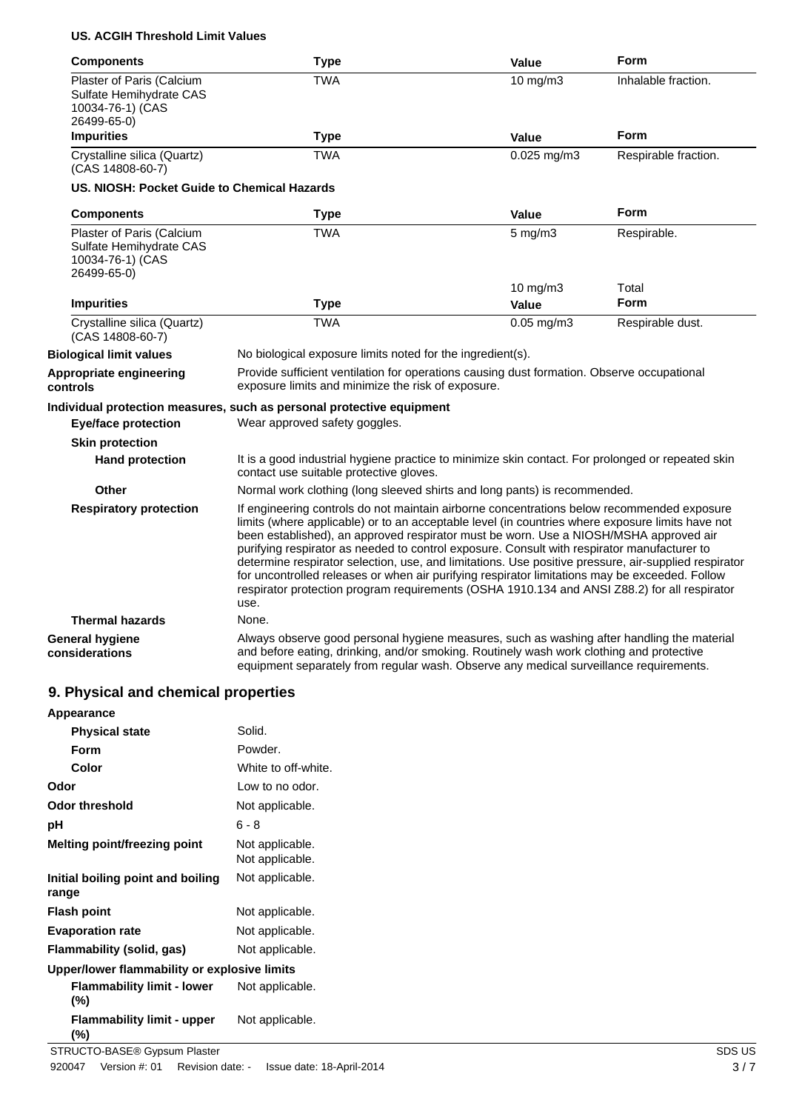## **US. ACGIH Threshold Limit Values**

| <b>Components</b>                                                                       | <b>Type</b>                                                                                                                                                                                                                                                                                                                                                                                                                                                                                                                                                                                                                                                                                              | Value              | Form                 |
|-----------------------------------------------------------------------------------------|----------------------------------------------------------------------------------------------------------------------------------------------------------------------------------------------------------------------------------------------------------------------------------------------------------------------------------------------------------------------------------------------------------------------------------------------------------------------------------------------------------------------------------------------------------------------------------------------------------------------------------------------------------------------------------------------------------|--------------------|----------------------|
| Plaster of Paris (Calcium<br>Sulfate Hemihydrate CAS<br>10034-76-1) (CAS<br>26499-65-0) | <b>TWA</b>                                                                                                                                                                                                                                                                                                                                                                                                                                                                                                                                                                                                                                                                                               | 10 mg/m3           | Inhalable fraction.  |
| <b>Impurities</b>                                                                       | <b>Type</b>                                                                                                                                                                                                                                                                                                                                                                                                                                                                                                                                                                                                                                                                                              | Value              | <b>Form</b>          |
| Crystalline silica (Quartz)<br>(CAS 14808-60-7)                                         | <b>TWA</b>                                                                                                                                                                                                                                                                                                                                                                                                                                                                                                                                                                                                                                                                                               | $0.025$ mg/m $3$   | Respirable fraction. |
| US. NIOSH: Pocket Guide to Chemical Hazards                                             |                                                                                                                                                                                                                                                                                                                                                                                                                                                                                                                                                                                                                                                                                                          |                    |                      |
| <b>Components</b>                                                                       | <b>Type</b>                                                                                                                                                                                                                                                                                                                                                                                                                                                                                                                                                                                                                                                                                              | Value              | <b>Form</b>          |
| Plaster of Paris (Calcium<br>Sulfate Hemihydrate CAS<br>10034-76-1) (CAS<br>26499-65-0) | <b>TWA</b>                                                                                                                                                                                                                                                                                                                                                                                                                                                                                                                                                                                                                                                                                               | $5 \text{ mg/m}$ 3 | Respirable.          |
|                                                                                         |                                                                                                                                                                                                                                                                                                                                                                                                                                                                                                                                                                                                                                                                                                          | 10 mg/m3           | Total                |
| <b>Impurities</b>                                                                       | <b>Type</b>                                                                                                                                                                                                                                                                                                                                                                                                                                                                                                                                                                                                                                                                                              | Value              | <b>Form</b>          |
| Crystalline silica (Quartz)<br>(CAS 14808-60-7)                                         | <b>TWA</b>                                                                                                                                                                                                                                                                                                                                                                                                                                                                                                                                                                                                                                                                                               | $0.05$ mg/m $3$    | Respirable dust.     |
| <b>Biological limit values</b>                                                          | No biological exposure limits noted for the ingredient(s).                                                                                                                                                                                                                                                                                                                                                                                                                                                                                                                                                                                                                                               |                    |                      |
| Appropriate engineering<br>controls                                                     | Provide sufficient ventilation for operations causing dust formation. Observe occupational<br>exposure limits and minimize the risk of exposure.                                                                                                                                                                                                                                                                                                                                                                                                                                                                                                                                                         |                    |                      |
|                                                                                         | Individual protection measures, such as personal protective equipment                                                                                                                                                                                                                                                                                                                                                                                                                                                                                                                                                                                                                                    |                    |                      |
| <b>Eye/face protection</b>                                                              | Wear approved safety goggles.                                                                                                                                                                                                                                                                                                                                                                                                                                                                                                                                                                                                                                                                            |                    |                      |
| <b>Skin protection</b>                                                                  |                                                                                                                                                                                                                                                                                                                                                                                                                                                                                                                                                                                                                                                                                                          |                    |                      |
| <b>Hand protection</b>                                                                  | It is a good industrial hygiene practice to minimize skin contact. For prolonged or repeated skin<br>contact use suitable protective gloves.                                                                                                                                                                                                                                                                                                                                                                                                                                                                                                                                                             |                    |                      |
| Other                                                                                   | Normal work clothing (long sleeved shirts and long pants) is recommended.                                                                                                                                                                                                                                                                                                                                                                                                                                                                                                                                                                                                                                |                    |                      |
| <b>Respiratory protection</b>                                                           | If engineering controls do not maintain airborne concentrations below recommended exposure<br>limits (where applicable) or to an acceptable level (in countries where exposure limits have not<br>been established), an approved respirator must be worn. Use a NIOSH/MSHA approved air<br>purifying respirator as needed to control exposure. Consult with respirator manufacturer to<br>determine respirator selection, use, and limitations. Use positive pressure, air-supplied respirator<br>for uncontrolled releases or when air purifying respirator limitations may be exceeded. Follow<br>respirator protection program requirements (OSHA 1910.134 and ANSI Z88.2) for all respirator<br>use. |                    |                      |
| <b>Thermal hazards</b>                                                                  | None.                                                                                                                                                                                                                                                                                                                                                                                                                                                                                                                                                                                                                                                                                                    |                    |                      |
| <b>General hygiene</b><br>considerations                                                | Always observe good personal hygiene measures, such as washing after handling the material<br>and before eating, drinking, and/or smoking. Routinely wash work clothing and protective<br>equipment separately from regular wash. Observe any medical surveillance requirements.                                                                                                                                                                                                                                                                                                                                                                                                                         |                    |                      |

# **9. Physical and chemical properties**

| Appearance                                   |                                    |        |
|----------------------------------------------|------------------------------------|--------|
| <b>Physical state</b>                        | Solid.                             |        |
| <b>Form</b>                                  | Powder.                            |        |
| Color                                        | White to off-white.                |        |
| Odor                                         | Low to no odor.                    |        |
| <b>Odor threshold</b>                        | Not applicable.                    |        |
| pH                                           | $6 - 8$                            |        |
| <b>Melting point/freezing point</b>          | Not applicable.<br>Not applicable. |        |
| Initial boiling point and boiling<br>range   | Not applicable.                    |        |
| <b>Flash point</b>                           | Not applicable.                    |        |
| <b>Evaporation rate</b>                      | Not applicable.                    |        |
| Flammability (solid, gas)                    | Not applicable.                    |        |
| Upper/lower flammability or explosive limits |                                    |        |
| <b>Flammability limit - lower</b><br>$(\%)$  | Not applicable.                    |        |
| <b>Flammability limit - upper</b><br>$(\%)$  | Not applicable.                    |        |
| STRUCTO-BASE® Gypsum Plaster                 |                                    | SDS US |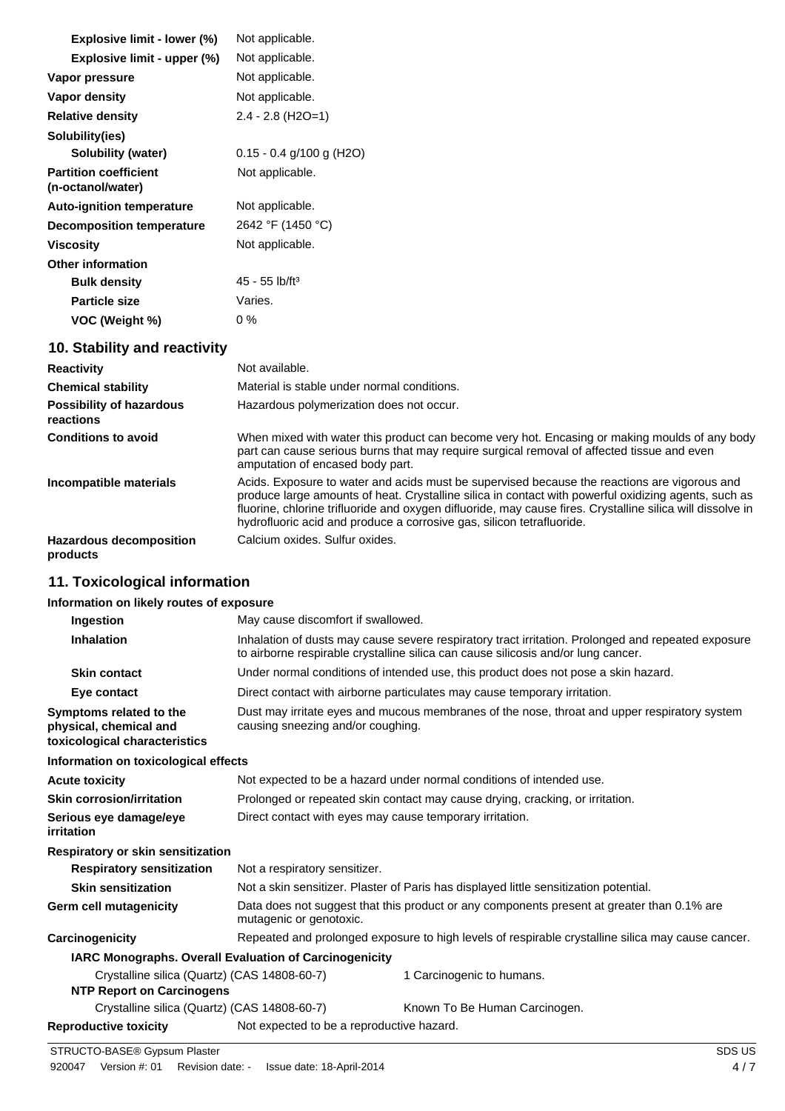| Explosive limit - lower (%)                       | Not applicable.                  |
|---------------------------------------------------|----------------------------------|
| Explosive limit - upper (%)                       | Not applicable.                  |
| Vapor pressure                                    | Not applicable.                  |
| Vapor density                                     | Not applicable.                  |
| <b>Relative density</b>                           | $2.4 - 2.8$ (H <sub>2</sub> O=1) |
| Solubility(ies)                                   |                                  |
| Solubility (water)                                | $0.15 - 0.4$ g/100 g (H2O)       |
| <b>Partition coefficient</b><br>(n-octanol/water) | Not applicable.                  |
| <b>Auto-ignition temperature</b>                  | Not applicable.                  |
| <b>Decomposition temperature</b>                  | 2642 °F (1450 °C)                |
| <b>Viscosity</b>                                  | Not applicable.                  |
| Other information                                 |                                  |
| <b>Bulk density</b>                               | $45 - 55$ lb/ft <sup>3</sup>     |
| <b>Particle size</b>                              | Varies.                          |
| VOC (Weight %)                                    | $0\%$                            |
| 10. Stability and reactivity                      |                                  |
| <b>Reactivity</b>                                 | Not available.                   |

| .                                            |                                                                                                                                                                                                                                                                                                                                                                                             |
|----------------------------------------------|---------------------------------------------------------------------------------------------------------------------------------------------------------------------------------------------------------------------------------------------------------------------------------------------------------------------------------------------------------------------------------------------|
| <b>Chemical stability</b>                    | Material is stable under normal conditions.                                                                                                                                                                                                                                                                                                                                                 |
| <b>Possibility of hazardous</b><br>reactions | Hazardous polymerization does not occur.                                                                                                                                                                                                                                                                                                                                                    |
| <b>Conditions to avoid</b>                   | When mixed with water this product can become very hot. Encasing or making moulds of any body<br>part can cause serious burns that may require surgical removal of affected tissue and even<br>amputation of encased body part.                                                                                                                                                             |
| Incompatible materials                       | Acids. Exposure to water and acids must be supervised because the reactions are vigorous and<br>produce large amounts of heat. Crystalline silica in contact with powerful oxidizing agents, such as<br>fluorine, chlorine trifluoride and oxygen difluoride, may cause fires. Crystalline silica will dissolve in<br>hydrofluoric acid and produce a corrosive gas, silicon tetrafluoride. |
| <b>Hazardous decomposition</b><br>products   | Calcium oxides. Sulfur oxides.                                                                                                                                                                                                                                                                                                                                                              |

# **11. Toxicological information**

## **Information on likely routes of exposure**

| Ingestion                                                                          | May cause discomfort if swallowed.                                                                                                                                                      |  |  |
|------------------------------------------------------------------------------------|-----------------------------------------------------------------------------------------------------------------------------------------------------------------------------------------|--|--|
| <b>Inhalation</b>                                                                  | Inhalation of dusts may cause severe respiratory tract irritation. Prolonged and repeated exposure<br>to airborne respirable crystalline silica can cause silicosis and/or lung cancer. |  |  |
| <b>Skin contact</b>                                                                | Under normal conditions of intended use, this product does not pose a skin hazard.                                                                                                      |  |  |
| Eye contact                                                                        | Direct contact with airborne particulates may cause temporary irritation.                                                                                                               |  |  |
| Symptoms related to the<br>physical, chemical and<br>toxicological characteristics | Dust may irritate eyes and mucous membranes of the nose, throat and upper respiratory system<br>causing sneezing and/or coughing.                                                       |  |  |
| Information on toxicological effects                                               |                                                                                                                                                                                         |  |  |
| <b>Acute toxicity</b>                                                              | Not expected to be a hazard under normal conditions of intended use.                                                                                                                    |  |  |
| <b>Skin corrosion/irritation</b>                                                   | Prolonged or repeated skin contact may cause drying, cracking, or irritation.                                                                                                           |  |  |
| Serious eye damage/eye<br>irritation                                               | Direct contact with eyes may cause temporary irritation.                                                                                                                                |  |  |
| Respiratory or skin sensitization                                                  |                                                                                                                                                                                         |  |  |
| <b>Respiratory sensitization</b>                                                   | Not a respiratory sensitizer.                                                                                                                                                           |  |  |
| <b>Skin sensitization</b>                                                          | Not a skin sensitizer. Plaster of Paris has displayed little sensitization potential.                                                                                                   |  |  |
| Germ cell mutagenicity                                                             | Data does not suggest that this product or any components present at greater than 0.1% are<br>mutagenic or genotoxic.                                                                   |  |  |
| Carcinogenicity                                                                    | Repeated and prolonged exposure to high levels of respirable crystalline silica may cause cancer.                                                                                       |  |  |
| <b>IARC Monographs. Overall Evaluation of Carcinogenicity</b>                      |                                                                                                                                                                                         |  |  |
| Crystalline silica (Quartz) (CAS 14808-60-7)<br><b>NTP Report on Carcinogens</b>   | 1 Carcinogenic to humans.                                                                                                                                                               |  |  |
| Crystalline silica (Quartz) (CAS 14808-60-7)                                       | Known To Be Human Carcinogen.                                                                                                                                                           |  |  |
| <b>Reproductive toxicity</b>                                                       | Not expected to be a reproductive hazard.                                                                                                                                               |  |  |
|                                                                                    |                                                                                                                                                                                         |  |  |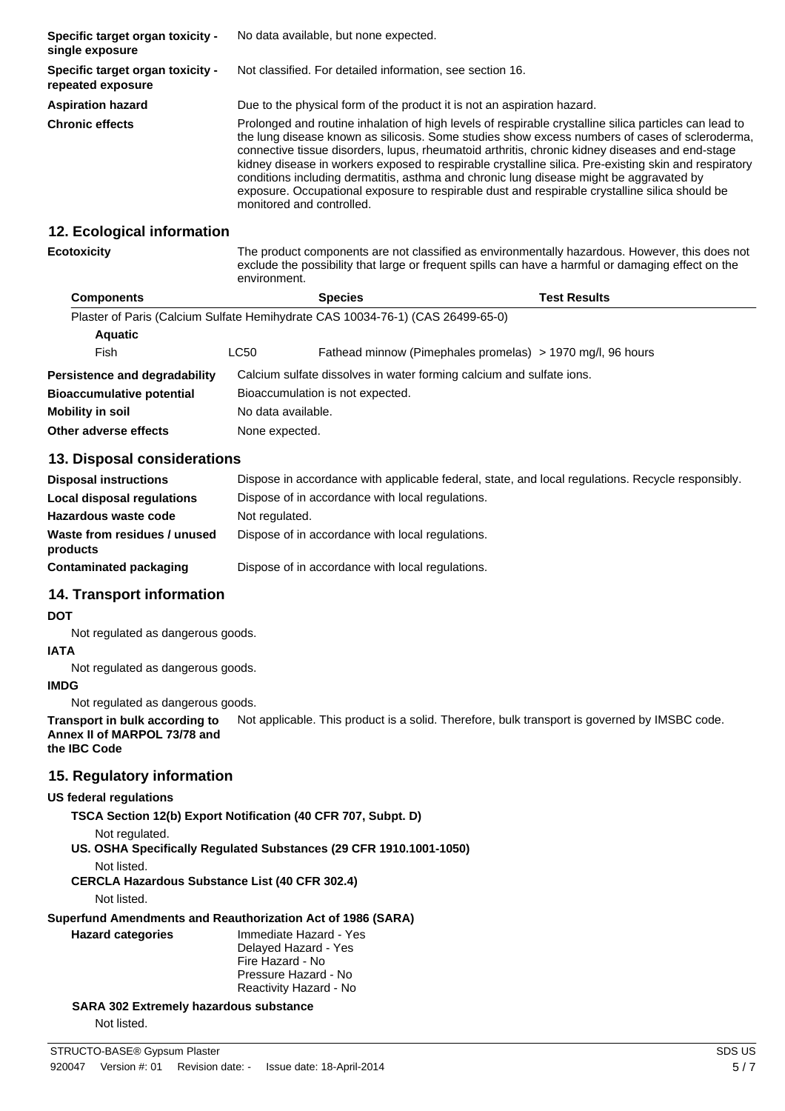| Specific target organ toxicity -<br>single exposure   | No data available, but none expected.                                                                                                                                                                                                                                                                                                                                                                                                                                                                                                                                                                                                          |
|-------------------------------------------------------|------------------------------------------------------------------------------------------------------------------------------------------------------------------------------------------------------------------------------------------------------------------------------------------------------------------------------------------------------------------------------------------------------------------------------------------------------------------------------------------------------------------------------------------------------------------------------------------------------------------------------------------------|
| Specific target organ toxicity -<br>repeated exposure | Not classified. For detailed information, see section 16.                                                                                                                                                                                                                                                                                                                                                                                                                                                                                                                                                                                      |
| <b>Aspiration hazard</b>                              | Due to the physical form of the product it is not an aspiration hazard.                                                                                                                                                                                                                                                                                                                                                                                                                                                                                                                                                                        |
| <b>Chronic effects</b>                                | Prolonged and routine inhalation of high levels of respirable crystalline silica particles can lead to<br>the lung disease known as silicosis. Some studies show excess numbers of cases of scleroderma,<br>connective tissue disorders, lupus, rheumatoid arthritis, chronic kidney diseases and end-stage<br>kidney disease in workers exposed to respirable crystalline silica. Pre-existing skin and respiratory<br>conditions including dermatitis, asthma and chronic lung disease might be aggravated by<br>exposure. Occupational exposure to respirable dust and respirable crystalline silica should be<br>monitored and controlled. |

#### **12. Ecological information**

**Ecotoxicity** The product components are not classified as environmentally hazardous. However, this does not exclude the possibility that large or frequent spills can have a harmful or damaging effect on the environment.

| <b>Components</b>                                                              |                    | <b>Species</b>                   | Test Results                                                         |  |
|--------------------------------------------------------------------------------|--------------------|----------------------------------|----------------------------------------------------------------------|--|
| Plaster of Paris (Calcium Sulfate Hemihydrate CAS 10034-76-1) (CAS 26499-65-0) |                    |                                  |                                                                      |  |
| <b>Aquatic</b>                                                                 |                    |                                  |                                                                      |  |
| Fish                                                                           | LC50               |                                  | Fathead minnow (Pimephales promelas) > 1970 mg/l, 96 hours           |  |
| Persistence and degradability                                                  |                    |                                  | Calcium sulfate dissolves in water forming calcium and sulfate ions. |  |
| <b>Bioaccumulative potential</b>                                               |                    | Bioaccumulation is not expected. |                                                                      |  |
| <b>Mobility in soil</b>                                                        | No data available. |                                  |                                                                      |  |
| Other adverse effects                                                          | None expected.     |                                  |                                                                      |  |

### **13. Disposal considerations**

| <b>Disposal instructions</b>             | Dispose in accordance with applicable federal, state, and local regulations. Recycle responsibly. |
|------------------------------------------|---------------------------------------------------------------------------------------------------|
| Local disposal regulations               | Dispose of in accordance with local regulations.                                                  |
| Hazardous waste code                     | Not regulated.                                                                                    |
| Waste from residues / unused<br>products | Dispose of in accordance with local regulations.                                                  |
| Contaminated packaging                   | Dispose of in accordance with local regulations.                                                  |

### **14. Transport information**

#### **DOT**

Not regulated as dangerous goods.

#### **IATA**

Not regulated as dangerous goods.

# **IMDG**

Not regulated as dangerous goods.

**Transport in bulk according to** Not applicable. This product is a solid. Therefore, bulk transport is governed by IMSBC code. **Annex II of MARPOL 73/78 and**

# **the IBC Code**

### **15. Regulatory information**

#### **US federal regulations**

**TSCA Section 12(b) Export Notification (40 CFR 707, Subpt. D)**

```
Not regulated.
```
**US. OSHA Specifically Regulated Substances (29 CFR 1910.1001-1050)**

Not listed.

**CERCLA Hazardous Substance List (40 CFR 302.4)**

Not listed.

# **Superfund Amendments and Reauthorization Act of 1986 (SARA)**

**Hazard categories** Immediate Hazard - Yes Delayed Hazard - Yes Fire Hazard - No Pressure Hazard - No Reactivity Hazard - No

**SARA 302 Extremely hazardous substance**

Not listed.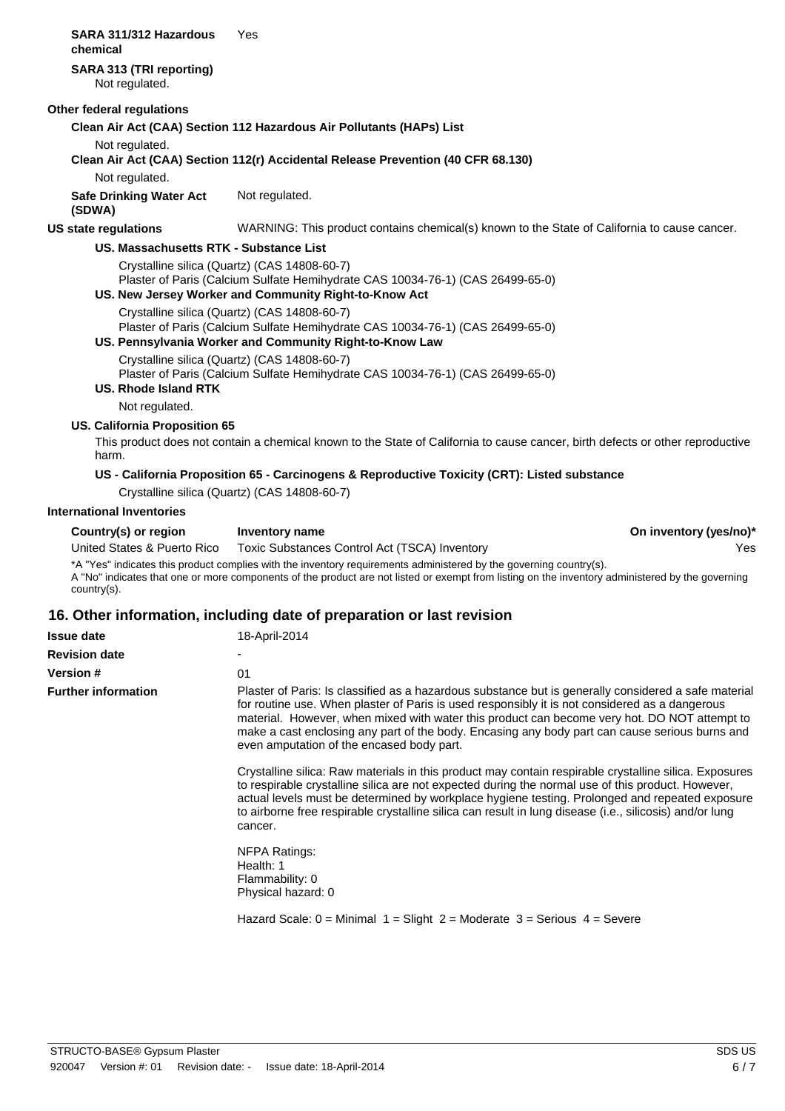| chemical                    | SARA 311/312 Hazardous               | Yes                                                                                                                            |
|-----------------------------|--------------------------------------|--------------------------------------------------------------------------------------------------------------------------------|
| Not regulated.              | SARA 313 (TRI reporting)             |                                                                                                                                |
| Other federal regulations   |                                      |                                                                                                                                |
|                             |                                      | Clean Air Act (CAA) Section 112 Hazardous Air Pollutants (HAPs) List                                                           |
| Not regulated.              |                                      | Clean Air Act (CAA) Section 112(r) Accidental Release Prevention (40 CFR 68.130)                                               |
| Not regulated.              |                                      |                                                                                                                                |
| (SDWA)                      | <b>Safe Drinking Water Act</b>       | Not regulated.                                                                                                                 |
| <b>US state regulations</b> |                                      | WARNING: This product contains chemical(s) known to the State of California to cause cancer.                                   |
|                             |                                      | US. Massachusetts RTK - Substance List                                                                                         |
|                             |                                      | Crystalline silica (Quartz) (CAS 14808-60-7)<br>Plaster of Paris (Calcium Sulfate Hemihydrate CAS 10034-76-1) (CAS 26499-65-0) |
|                             |                                      | US. New Jersey Worker and Community Right-to-Know Act                                                                          |
|                             |                                      | Crystalline silica (Quartz) (CAS 14808-60-7)<br>Plaster of Paris (Calcium Sulfate Hemihydrate CAS 10034-76-1) (CAS 26499-65-0) |
|                             |                                      | US. Pennsylvania Worker and Community Right-to-Know Law                                                                        |
|                             |                                      | Crystalline silica (Quartz) (CAS 14808-60-7)<br>Plaster of Paris (Calcium Sulfate Hemihydrate CAS 10034-76-1) (CAS 26499-65-0) |
|                             | US. Rhode Island RTK                 |                                                                                                                                |
|                             | Not regulated.                       |                                                                                                                                |
|                             | <b>US. California Proposition 65</b> |                                                                                                                                |
| harm.                       |                                      | This product does not contain a chemical known to the State of California to cause cancer, birth defects or other reproductive |
|                             |                                      |                                                                                                                                |

#### **US - California Proposition 65 - Carcinogens & Reproductive Toxicity (CRT): Listed substance**

Crystalline silica (Quartz) (CAS 14808-60-7)

### **International Inventories**

**Country(s) or region** Inventory name **Inventory name On inventory (yes/no)\*** \*A "Yes" indicates this product complies with the inventory requirements administered by the governing country(s). A "No" indicates that one or more components of the product are not listed or exempt from listing on the inventory administered by the governing country(s). United States & Puerto Rico Toxic Substances Control Act (TSCA) Inventory Yes

#### **16. Other information, including date of preparation or last revision**

| <b>Issue date</b>          | 18-April-2014                                                                                                                                                                                                                                                                                                                                                                                                                                         |
|----------------------------|-------------------------------------------------------------------------------------------------------------------------------------------------------------------------------------------------------------------------------------------------------------------------------------------------------------------------------------------------------------------------------------------------------------------------------------------------------|
| <b>Revision date</b>       |                                                                                                                                                                                                                                                                                                                                                                                                                                                       |
| <b>Version #</b>           | 01                                                                                                                                                                                                                                                                                                                                                                                                                                                    |
| <b>Further information</b> | Plaster of Paris: Is classified as a hazardous substance but is generally considered a safe material<br>for routine use. When plaster of Paris is used responsibly it is not considered as a dangerous<br>material. However, when mixed with water this product can become very hot. DO NOT attempt to<br>make a cast enclosing any part of the body. Encasing any body part can cause serious burns and<br>even amputation of the encased body part. |
|                            | Crystalline silica: Raw materials in this product may contain respirable crystalline silica. Exposures<br>to respirable crystalline silica are not expected during the normal use of this product. However,<br>actual levels must be determined by workplace hygiene testing. Prolonged and repeated exposure<br>to airborne free respirable crystalline silica can result in lung disease (i.e., silicosis) and/or lung<br>cancer.                   |
|                            | NFPA Ratings:<br>Health: 1<br>Flammability: 0<br>Physical hazard: 0                                                                                                                                                                                                                                                                                                                                                                                   |
|                            | Hazard Scale: $0 =$ Minimal 1 = Slight 2 = Moderate 3 = Serious 4 = Severe                                                                                                                                                                                                                                                                                                                                                                            |